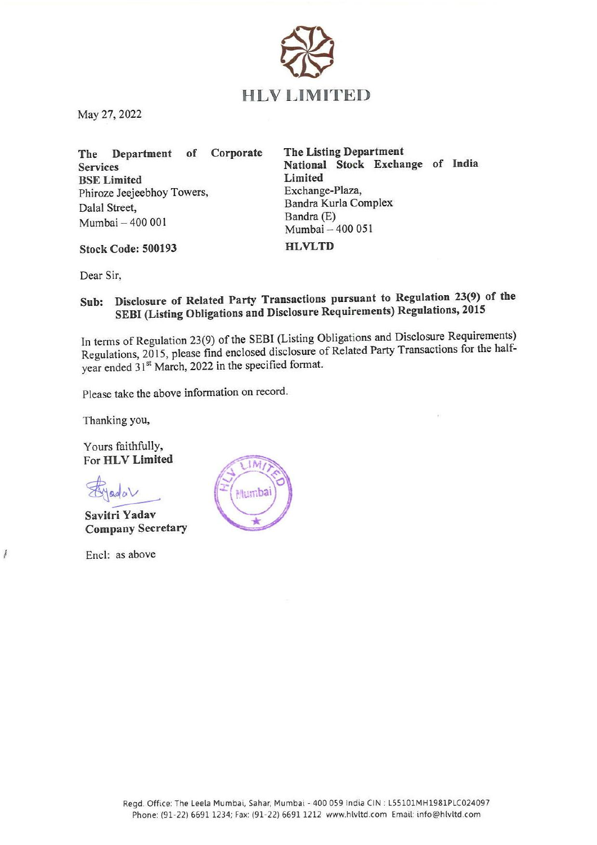

May 27, 2022

The Department of Corporate The Listing Department BSE Limited<br>
Phiroze Jeeieebhov Towers.<br>
Exchange-Plaza, Phiroze Jeejeebhoy Towers, Dalal Street,<br>Bandra Kurla Complex<br>Bandra (E)  $Mumbai - 400\,001$  Bandra (E)<br>Mumbai – 400 051

Services<br>
Services<br>
RSF I imited<br>
Limited<br>
Limited<br>
Limited

Stock Code: 500193 HLVLTD

Dear Sir,

## Sub: Disclosure of Related Party Transactions pursuant to Regulation 23(9) of the SEBI (Listing Obligations and Disclosure Requirements) Regulations, <sup>2015</sup>

In terms of Regulation 23(9) of the SEBI (Listing Obligations and Disclosure Requirements) Regulations, 2015, please find enclosed disclosure of Related Party Transactions for the halfyear ended 31<sup>st</sup> March, 2022 in the specified format.

Please take the above information on record.

Thanking you,

Yours faithfully, For HLV Limited

 $\bigotimes$ yada $\vee$ 

Savitri Yadav Company Secretary

Encl: as above

f